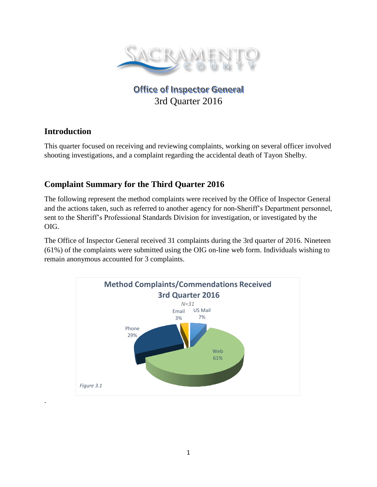

# **Office of Inspector General** 3rd Quarter 2016

### **Introduction**

.

This quarter focused on receiving and reviewing complaints, working on several officer involved shooting investigations, and a complaint regarding the accidental death of Tayon Shelby.

## **Complaint Summary for the Third Quarter 2016**

The following represent the method complaints were received by the Office of Inspector General and the actions taken, such as referred to another agency for non-Sheriff's Department personnel, sent to the Sheriff's Professional Standards Division for investigation, or investigated by the OIG.

The Office of Inspector General received 31 complaints during the 3rd quarter of 2016. Nineteen (61%) of the complaints were submitted using the OIG on-line web form. Individuals wishing to remain anonymous accounted for 3 complaints.

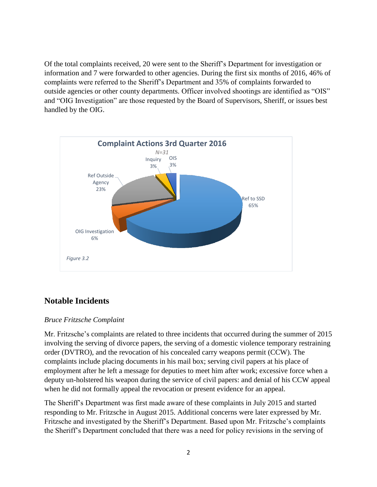Of the total complaints received, 20 were sent to the Sheriff's Department for investigation or information and 7 were forwarded to other agencies. During the first six months of 2016, 46% of complaints were referred to the Sheriff's Department and 35% of complaints forwarded to outside agencies or other county departments. Officer involved shootings are identified as "OIS" and "OIG Investigation" are those requested by the Board of Supervisors, Sheriff, or issues best handled by the OIG.



### **Notable Incidents**

#### *Bruce Fritzsche Complaint*

Mr. Fritzsche's complaints are related to three incidents that occurred during the summer of 2015 involving the serving of divorce papers, the serving of a domestic violence temporary restraining order (DVTRO), and the revocation of his concealed carry weapons permit (CCW). The complaints include placing documents in his mail box; serving civil papers at his place of employment after he left a message for deputies to meet him after work; excessive force when a deputy un-holstered his weapon during the service of civil papers: and denial of his CCW appeal when he did not formally appeal the revocation or present evidence for an appeal.

The Sheriff's Department was first made aware of these complaints in July 2015 and started responding to Mr. Fritzsche in August 2015. Additional concerns were later expressed by Mr. Fritzsche and investigated by the Sheriff's Department. Based upon Mr. Fritzsche's complaints the Sheriff's Department concluded that there was a need for policy revisions in the serving of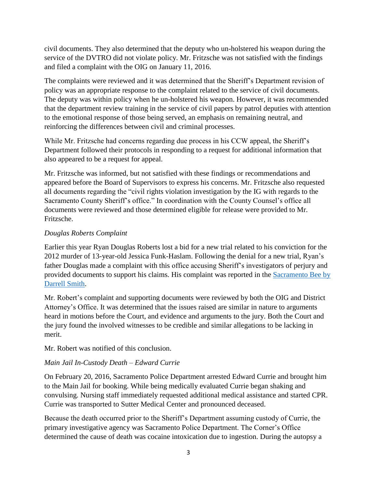civil documents. They also determined that the deputy who un-holstered his weapon during the service of the DVTRO did not violate policy. Mr. Fritzsche was not satisfied with the findings and filed a complaint with the OIG on January 11, 2016.

The complaints were reviewed and it was determined that the Sheriff's Department revision of policy was an appropriate response to the complaint related to the service of civil documents. The deputy was within policy when he un-holstered his weapon. However, it was recommended that the department review training in the service of civil papers by patrol deputies with attention to the emotional response of those being served, an emphasis on remaining neutral, and reinforcing the differences between civil and criminal processes.

While Mr. Fritzsche had concerns regarding due process in his CCW appeal, the Sheriff's Department followed their protocols in responding to a request for additional information that also appeared to be a request for appeal.

Mr. Fritzsche was informed, but not satisfied with these findings or recommendations and appeared before the Board of Supervisors to express his concerns. Mr. Fritzsche also requested all documents regarding the "civil rights violation investigation by the IG with regards to the Sacramento County Sheriff's office." In coordination with the County Counsel's office all documents were reviewed and those determined eligible for release were provided to Mr. Fritzsche.

#### *Douglas Roberts Complaint*

Earlier this year Ryan Douglas Roberts lost a bid for a new trial related to his conviction for the 2012 murder of 13-year-old Jessica Funk-Haslam. Following the denial for a new trial, Ryan's father Douglas made a complaint with this office accusing Sheriff's investigators of perjury and provided documents to support his claims. His complaint was reported in the [Sacramento Bee by](http://www.sacbee.com/news/local/crime/article66887522.html)  [Darrell Smith.](http://www.sacbee.com/news/local/crime/article66887522.html)

Mr. Robert's complaint and supporting documents were reviewed by both the OIG and District Attorney's Office. It was determined that the issues raised are similar in nature to arguments heard in motions before the Court, and evidence and arguments to the jury. Both the Court and the jury found the involved witnesses to be credible and similar allegations to be lacking in merit.

Mr. Robert was notified of this conclusion.

#### *Main Jail In-Custody Death – Edward Currie*

On February 20, 2016, Sacramento Police Department arrested Edward Currie and brought him to the Main Jail for booking. While being medically evaluated Currie began shaking and convulsing. Nursing staff immediately requested additional medical assistance and started CPR. Currie was transported to Sutter Medical Center and pronounced deceased.

Because the death occurred prior to the Sheriff's Department assuming custody of Currie, the primary investigative agency was Sacramento Police Department. The Corner's Office determined the cause of death was cocaine intoxication due to ingestion. During the autopsy a